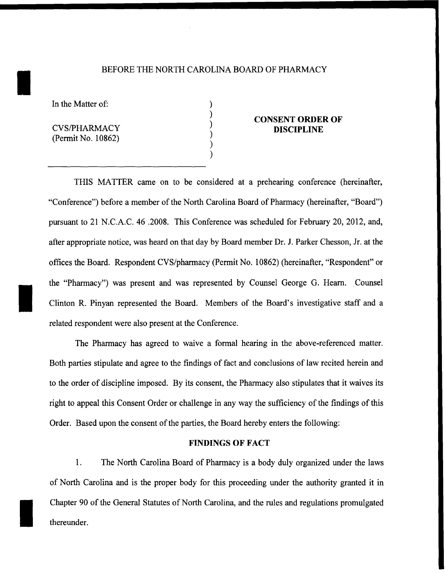### BEFORE THE NORTH CAROLINA BOARD OF PHARMACY

) ) ) ) ) )

In the Matter of:

I

I

I

CVS/PHARMACY (Permit No. 10862)

# **CONSENT ORDER OF DISCIPLINE**

THIS MATTER came on to be considered at a prehearing conference (hereinafter, "Conference") before a member of the North Carolina Board of Pharmacy (hereinafter, "Board") pursuant to 21 N.C.A.C. 46 .2008. This Conference was scheduled for February 20, 2012, and, after appropriate notice, was heard on that day by Board member Dr. J. Parker Chesson, Jr. at the offices the Board. Respondent CVS/pharmacy (Permit No. 1 0862) (hereinafter, "Respondent" or the "Pharmacy") was present and was represented by Counsel George G. Hearn. Counsel Clinton R. Pinyan represented the Board. Members of the Board's investigative staff and a related respondent were also present at the Conference.

The Pharmacy has agreed to waive a formal hearing in the above-referenced matter. Both parties stipulate and agree to the findings of fact and conclusions of law recited herein and to the order of discipline imposed. By its consent, the Pharmacy also stipulates that it waives its right to appeal this Consent Order or challenge in any way the sufficiency of the findings of this Order. Based upon the consent of the parties, the Board hereby enters the following:

### **FINDINGS OF FACT**

1. The North Carolina Board of Pharmacy is a body duly organized under the laws of North Carolina and is the proper body for this proceeding under the authority granted it in Chapter 90 of the General Statutes of North Carolina, and the rules and regulations promulgated thereunder.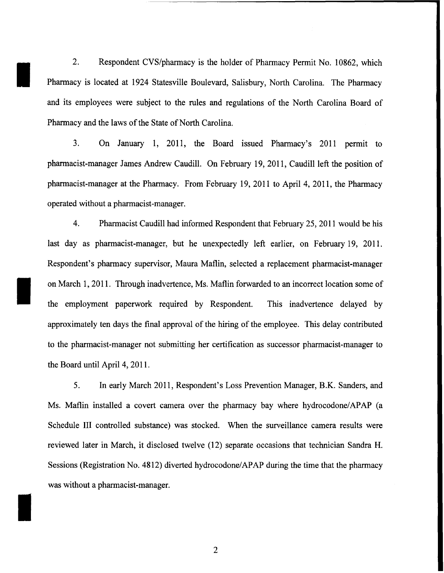2. Respondent CVS/pharmacy is the holder of Pharmacy Permit No. 10862, which Pharmacy is located at 1924 Statesville Boulevard, Salisbury, North Carolina. The Pharmacy and its employees were subject to the rules and regulations of the North Carolina Board of Pharmacy and the laws of the State of North Carolina.

I

I

I

3. On January 1, 2011, the Board issued Pharmacy's 2011 permit to pharmacist-manager James Andrew Caudill. On February 19, 2011, Caudill left the position of pharmacist-manager at the Pharmacy. From February 19, 2011 to April 4, 2011, the Pharmacy operated without a pharmacist-manager.

4. Pharmacist Caudill had informed Respondent that February 25, 2011 would be his last day as pharmacist-manager, but he unexpectedly left earlier, on February 19, 2011. Respondent's pharmacy supervisor, Maura Matlin, selected a replacement pharmacist-manager on March 1, 2011. Through inadvertence, Ms. Matlin forwarded to an incorrect location some of the employment paperwork required by Respondent. This inadvertence delayed by approximately ten days the final approval of the hiring of the employee. This delay contributed to the pharmacist-manager not submitting her certification as successor pharmacist-manager to the Board until April 4, 2011.

5. In early March 2011, Respondent's Loss Prevention Manager, B.K. Sanders, and Ms. Maflin installed a covert camera over the pharmacy bay where hydrocodone/APAP (a Schedule III controlled substance) was stocked. When the surveillance camera results were reviewed later in March, it disclosed twelve (12) separate occasions that technician Sandra H. Sessions (Registration No. 4812) diverted hydrocodone/APAP during the time that the pharmacy was without a pharmacist-manager.

2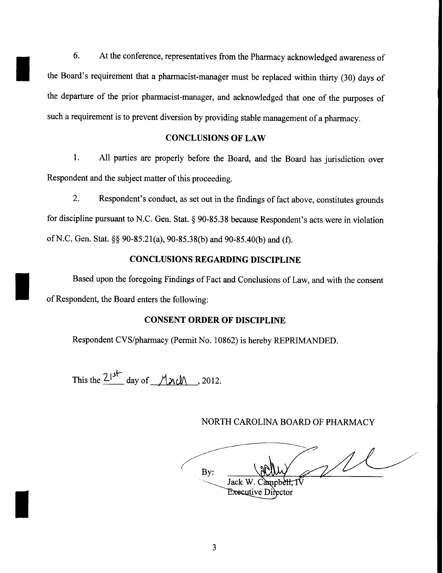6. At the conference, representatives from the Pharmacy acknowledged awareness of the Board's requirement that a pharmacist-manager must be replaced within thirty (30) days of the departure of the prior pharmacist-manager, and acknowledged that one of the purposes of such a requirement is to prevent diversion by providing stable management of a pharmacy.

### **CONCLUSIONS OF LAW**

1. All parties are properly before the Board, and the Board has jurisdiction over Respondent and the subject matter of this proceeding.

2. Respondent's conduct, as set out in the findings of fact above, constitutes grounds for discipline pursuant to N.C. Gen. Stat. *§* 90-85.38 because Respondent's acts were in violation ofN.C. Gen. Stat. *§§* 90-85.21(a), 90-85.38(b) and 90-85.40(b) and (f).

# **CONCLUSIONS REGARDING DISCIPLINE**

Based upon the foregoing Findings of Fact and Conclusions of Law, and with the consent of Respondent, the Board enters the following:

#### **CONSENT ORDER OF DISCIPLINE**

Respondent CVS/pharmacy (Permit No. 10862) is hereby REPRIMANDED.

This the  $\frac{21^{3}}{1}$  day of <u>*\1\J\ \left\ \left \ 2012.*</u>

I

I

I

NORTH CAROLINA BOARD OF PHARMACY

 $\mathcal{U}$ Bv: Jack W. Campbell. T **Executive Director**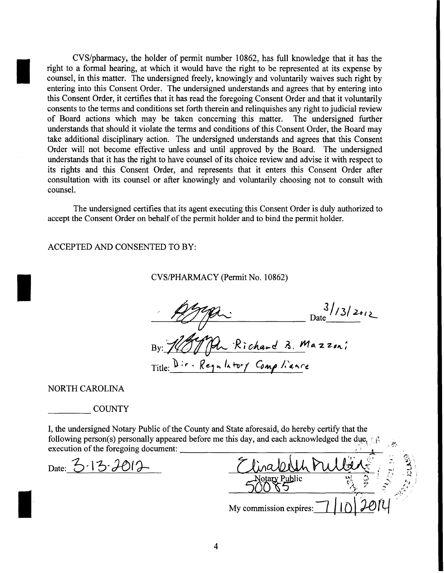CVS/pharmacy, the holder of permit number 10862, has full knowledge that it has the right to a formal hearing, at which it would have the right to be represented at its expense by counsel, in this matter. The undersigned freely, knowingly and voluntarily waives such right by entering into this Consent Order. The undersigned understands and agrees that by entering into this Consent Order, it certifies that it has read the foregoing Consent Order and that it voluntarily consents to the terms and conditions set forth therein and relinquishes any right to judicial review of Board actions which may be taken concerning this matter. The undersigned further understands that should it violate the terms and conditions of this Consent Order, the Board may take additional disciplinary action. The undersigned understands and agrees that this Consent Order will not become effective unless and until approved by the Board. The undersigned understands that it has the right to have counsel of its choice review and advise it with respect to its rights and this Consent Order, and represents that it enters this Consent Order after consultation with its counsel or after knowingly and voluntarily choosing not to consult with counsel.

The undersigned certifies that its agent executing this Consent Order is duly authorized to accept the Consent Order on behalf of the permit holder and to bind the permit holder.

ACCEPTED AND CONSENTED TO BY:

CVS/PHARMACY (Permit No. 10862)

~ <sup>D</sup> *31t3/2At2\_* -----~~~~~------------------ me \_\_\_\_\_\_ \_  $By: \mathscr{H}^{\mathscr{L}}(\mathcal{A})\longrightarrow R$ ichard B. Mazzon;

Title: Dir · Regulatory Comp liance

NORTH CAROLINA

I

I

I

**COUNTY** 

I, the undersigned Notary Public of the County and State aforesaid, do hereby certify that the following person(s) personally appeared before me this day, and each acknowledged the due,  $\mathbb{R}$ execution of the foregoing document:

Date:  $3.13.7012$ 

|                        | ィー・ |
|------------------------|-----|
|                        |     |
| tary Public            |     |
| My commission expires: |     |